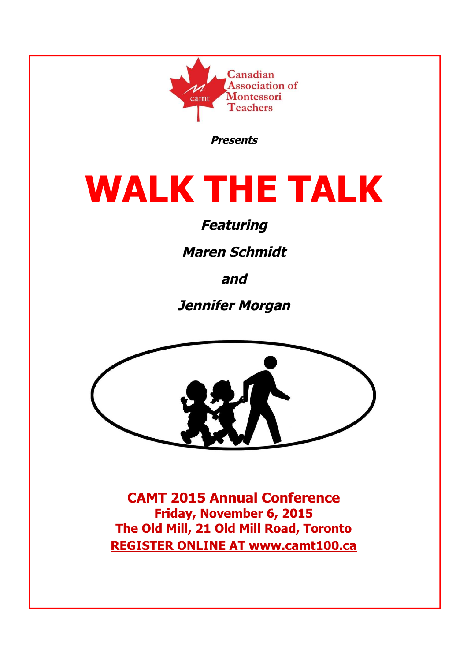

**Presents**

# **WALK THE TALK**

# **Featuring**

**Maren Schmidt**

**and**

**Jennifer Morgan**



**CAMT 2015 Annual Conference Friday, November 6, 2015 The Old Mill, 21 Old Mill Road, Toronto REGISTER ONLINE AT www.camt100.ca**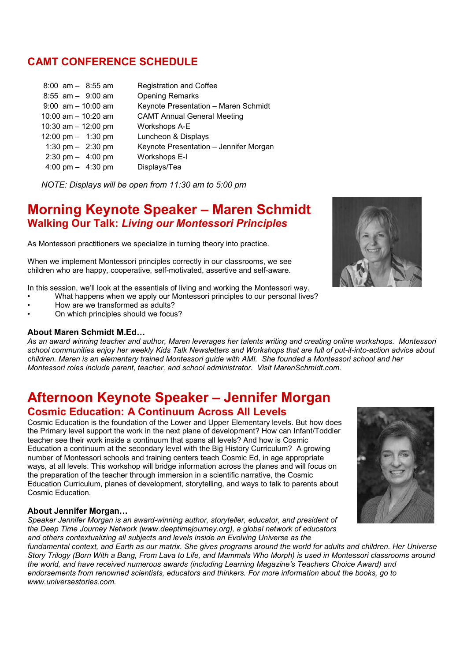# **CAMT CONFERENCE SCHEDULE**

| $8:00$ am $-$ 8:55 am               | <b>Registration and Coffee</b>         |
|-------------------------------------|----------------------------------------|
| $8:55$ am $-$ 9:00 am               | <b>Opening Remarks</b>                 |
| $9:00$ am $-10:00$ am               | Keynote Presentation - Maren Schmidt   |
| 10:00 am $-$ 10:20 am               | <b>CAMT Annual General Meeting</b>     |
| 10:30 am $-$ 12:00 pm               | Workshops A-E                          |
| 12:00 pm $-$ 1:30 pm                | Luncheon & Displays                    |
| 1:30 pm $-$ 2:30 pm                 | Keynote Presentation - Jennifer Morgan |
| $2:30 \text{ pm} - 4:00 \text{ pm}$ | Workshops E-I                          |
| 4:00 pm $-$ 4:30 pm                 | Displays/Tea                           |

*NOTE: Displays will be open from 11:30 am to 5:00 pm*

# **Morning Keynote Speaker – Maren Schmidt Walking Our Talk:** *Living our Montessori Principles*

As Montessori practitioners we specialize in turning theory into practice.

When we implement Montessori principles correctly in our classrooms, we see children who are happy, cooperative, self-motivated, assertive and self-aware.

In this session, we'll look at the essentials of living and working the Montessori way.

- What happens when we apply our Montessori principles to our personal lives? • How are we transformed as adults?
- On which principles should we focus?

## **About Maren Schmidt M.Ed…**

*As an award winning teacher and author, Maren leverages her talents writing and creating online workshops. Montessori school communities enjoy her weekly Kids Talk Newsletters and Workshops that are full of put-it-into-action advice about children. Maren is an elementary trained Montessori guide with AMI. She founded a Montessori school and her Montessori roles include parent, teacher, and school administrator. Visit MarenSchmidt.com.*

# **Afternoon Keynote Speaker – Jennifer Morgan Cosmic Education: A Continuum Across All Levels**

Cosmic Education is the foundation of the Lower and Upper Elementary levels. But how does the Primary level support the work in the next plane of development? How can Infant/Toddler teacher see their work inside a continuum that spans all levels? And how is Cosmic Education a continuum at the secondary level with the Big History Curriculum? A growing number of Montessori schools and training centers teach Cosmic Ed, in age appropriate ways, at all levels. This workshop will bridge information across the planes and will focus on the preparation of the teacher through immersion in a scientific narrative, the Cosmic Education Curriculum, planes of development, storytelling, and ways to talk to parents about Cosmic Education.

## **About Jennifer Morgan…**

*Speaker Jennifer Morgan is an award-winning author, storyteller, educator, and president of the Deep Time Journey Network (www.deeptimejourney.org), a global network of educators and others contextualizing all subjects and levels inside an Evolving Universe as the*

*fundamental context, and Earth as our matrix. She gives programs around the world for adults and children. Her Universe Story Trilogy (Born With a Bang, From Lava to Life, and Mammals Who Morph) is used in Montessori classrooms around the world, and have received numerous awards (including Learning Magazine's Teachers Choice Award) and endorsements from renowned scientists, educators and thinkers. For more information about the books, go to www.universestories.com.*



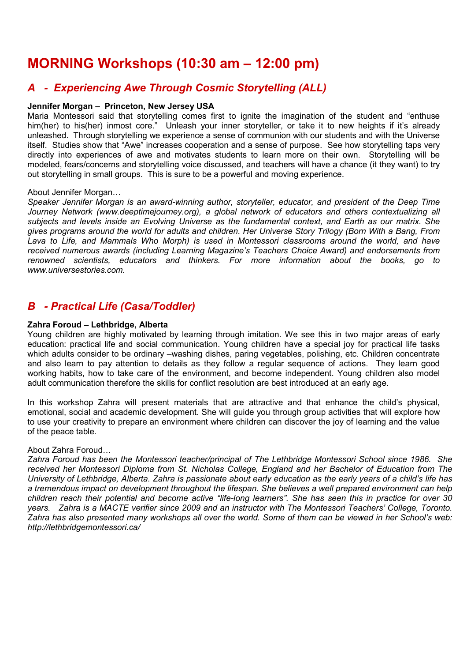# **MORNING Workshops (10:30 am – 12:00 pm)**

# *A - Experiencing Awe Through Cosmic Storytelling (ALL)*

## **Jennifer Morgan – Princeton, New Jersey USA**

Maria Montessori said that storytelling comes first to ignite the imagination of the student and "enthuse him(her) to his(her) inmost core." Unleash your inner storyteller, or take it to new heights if it's already unleashed. Through storytelling we experience a sense of communion with our students and with the Universe itself. Studies show that "Awe" increases cooperation and a sense of purpose. See how storytelling taps very directly into experiences of awe and motivates students to learn more on their own. Storytelling will be modeled, fears/concerns and storytelling voice discussed, and teachers will have a chance (it they want) to try out storytelling in small groups. This is sure to be a powerful and moving experience.

## About Jennifer Morgan…

*Speaker Jennifer Morgan is an award-winning author, storyteller, educator, and president of the Deep Time Journey Network (www.deeptimejourney.org), a global network of educators and others contextualizing all subjects and levels inside an Evolving Universe as the fundamental context, and Earth as our matrix. She gives programs around the world for adults and children. Her Universe Story Trilogy (Born With a Bang, From Lava to Life, and Mammals Who Morph) is used in Montessori classrooms around the world, and have received numerous awards (including Learning Magazine's Teachers Choice Award) and endorsements from renowned scientists, educators and thinkers. For more information about the books, go to www.universestories.com.*

## *B - Practical Life (Casa/Toddler)*

## **Zahra Foroud – Lethbridge, Alberta**

Young children are highly motivated by learning through imitation. We see this in two major areas of early education: practical life and social communication. Young children have a special joy for practical life tasks which adults consider to be ordinary –washing dishes, paring vegetables, polishing, etc. Children concentrate and also learn to pay attention to details as they follow a regular sequence of actions. They learn good working habits, how to take care of the environment, and become independent. Young children also model adult communication therefore the skills for conflict resolution are best introduced at an early age.

In this workshop Zahra will present materials that are attractive and that enhance the child's physical, emotional, social and academic development. She will guide you through group activities that will explore how to use your creativity to prepare an environment where children can discover the joy of learning and the value of the peace table.

## About Zahra Foroud…

*Zahra Foroud has been the Montessori teacher/principal of The Lethbridge Montessori School since 1986. She received her Montessori Diploma from St. Nicholas College, England and her Bachelor of Education from The University of Lethbridge, Alberta. Zahra is passionate about early education as the early years of a child's life has a tremendous impact on development throughout the lifespan. She believes a well prepared environment can help children reach their potential and become active "life-long learners". She has seen this in practice for over 30 years. Zahra is a MACTE verifier since 2009 and an instructor with The Montessori Teachers' College, Toronto. Zahra has also presented many workshops all over the world. Some of them can be viewed in her School's web: http://lethbridgemontessori.ca/*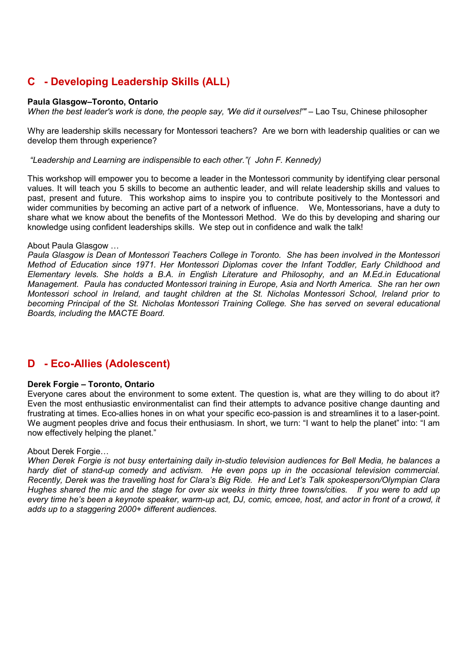# **C - Developing Leadership Skills (ALL)**

## **Paula Glasgow–Toronto, Ontario**

*When the best leader's work is done, the people say, 'We did it ourselves!'"* – Lao Tsu, Chinese philosopher

Why are leadership skills necessary for Montessori teachers? Are we born with leadership qualities or can we develop them through experience?

*"Leadership and Learning are indispensible to each other."( John F. Kennedy)*

This workshop will empower you to become a leader in the Montessori community by identifying clear personal values. It will teach you 5 skills to become an authentic leader, and will relate leadership skills and values to past, present and future. This workshop aims to inspire you to contribute positively to the Montessori and wider communities by becoming an active part of a network of influence. We, Montessorians, have a duty to share what we know about the benefits of the Montessori Method. We do this by developing and sharing our knowledge using confident leaderships skills. We step out in confidence and walk the talk!

#### About Paula Glasgow …

*Paula Glasgow is Dean of Montessori Teachers College in Toronto. She has been involved in the Montessori Method of Education since 1971. Her Montessori Diplomas cover the Infant Toddler, Early Childhood and Elementary levels. She holds a B.A. in English Literature and Philosophy, and an M.Ed.in Educational Management. Paula has conducted Montessori training in Europe, Asia and North America. She ran her own Montessori school in Ireland, and taught children at the St. Nicholas Montessori School, Ireland prior to becoming Principal of the St. Nicholas Montessori Training College. She has served on several educational Boards, including the MACTE Board.*

## **D - Eco-Allies (Adolescent)**

## **Derek Forgie – Toronto, Ontario**

Everyone cares about the environment to some extent. The question is, what are they willing to do about it? Even the most enthusiastic environmentalist can find their attempts to advance positive change daunting and frustrating at times. Eco-allies hones in on what your specific eco-passion is and streamlines it to a laser-point. We augment peoples drive and focus their enthusiasm. In short, we turn: "I want to help the planet" into: "I am now effectively helping the planet."

## About Derek Forgie…

*When Derek Forgie is not busy entertaining daily in-studio television audiences for Bell Media, he balances a hardy diet of stand-up comedy and activism. He even pops up in the occasional television commercial. Recently, Derek was the travelling host for Clara's Big Ride. He and Let's Talk spokesperson/Olympian Clara Hughes shared the mic and the stage for over six weeks in thirty three towns/cities. If you were to add up every time he's been a keynote speaker, warm-up act, DJ, comic, emcee, host, and actor in front of a crowd, it adds up to a staggering 2000+ different audiences.*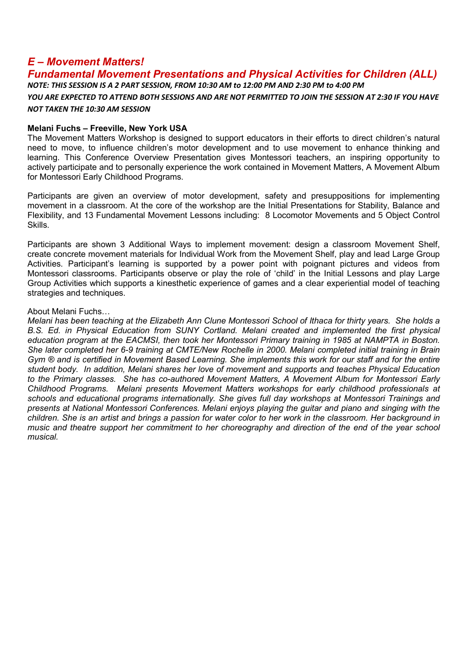## *E – Movement Matters!*

## *Fundamental Movement Presentations and Physical Activities for Children (ALL) NOTE: THIS SESSION IS A 2 PART SESSION, FROM 10:30 AM to 12:00 PM AND 2:30 PM to 4:00 PM*

*YOU ARE EXPECTED TO ATTEND BOTH SESSIONS AND ARE NOT PERMITTED TO JOIN THE SESSION AT 2:30 IF YOU HAVE NOT TAKEN THE 10:30 AM SESSION*

#### **Melani Fuchs – Freeville, New York USA**

The Movement Matters Workshop is designed to support educators in their efforts to direct children's natural need to move, to influence children's motor development and to use movement to enhance thinking and learning. This Conference Overview Presentation gives Montessori teachers, an inspiring opportunity to actively participate and to personally experience the work contained in Movement Matters, A Movement Album for Montessori Early Childhood Programs.

Participants are given an overview of motor development, safety and presuppositions for implementing movement in a classroom. At the core of the workshop are the Initial Presentations for Stability, Balance and Flexibility, and 13 Fundamental Movement Lessons including: 8 Locomotor Movements and 5 Object Control Skills.

Participants are shown 3 Additional Ways to implement movement: design a classroom Movement Shelf, create concrete movement materials for Individual Work from the Movement Shelf, play and lead Large Group Activities. Participant's learning is supported by a power point with poignant pictures and videos from Montessori classrooms. Participants observe or play the role of 'child' in the Initial Lessons and play Large Group Activities which supports a kinesthetic experience of games and a clear experiential model of teaching strategies and techniques.

## About Melani Fuchs…

*Melani has been teaching at the Elizabeth Ann Clune Montessori School of Ithaca for thirty years. She holds a B.S. Ed. in Physical Education from SUNY Cortland. Melani created and implemented the first physical education program at the EACMSI, then took her Montessori Primary training in 1985 at NAMPTA in Boston. She later completed her 6-9 training at CMTE/New Rochelle in 2000. Melani completed initial training in Brain Gym ® and is certified in Movement Based Learning. She implements this work for our staff and for the entire student body. In addition, Melani shares her love of movement and supports and teaches Physical Education to the Primary classes. She has co-authored Movement Matters, A Movement Album for Montessori Early Childhood Programs. Melani presents Movement Matters workshops for early childhood professionals at schools and educational programs internationally. She gives full day workshops at Montessori Trainings and presents at National Montessori Conferences. Melani enjoys playing the guitar and piano and singing with the children. She is an artist and brings a passion for water color to her work in the classroom. Her background in music and theatre support her commitment to her choreography and direction of the end of the year school musical.*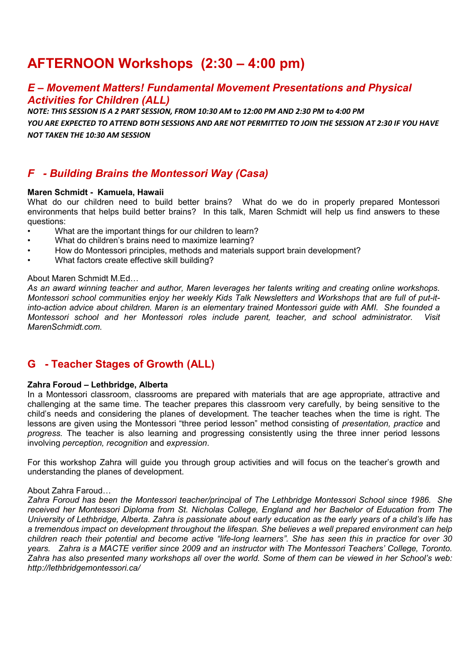# **AFTERNOON Workshops (2:30 – 4:00 pm)**

## *E – Movement Matters! Fundamental Movement Presentations and Physical Activities for Children (ALL)*

*NOTE: THIS SESSION IS A 2 PART SESSION, FROM 10:30 AM to 12:00 PM AND 2:30 PM to 4:00 PM*

*YOU ARE EXPECTED TO ATTEND BOTH SESSIONS AND ARE NOT PERMITTED TO JOIN THE SESSION AT 2:30 IF YOU HAVE NOT TAKEN THE 10:30 AM SESSION*

## *F - Building Brains the Montessori Way (Casa)*

## **Maren Schmidt - Kamuela, Hawaii**

What do our children need to build better brains? What do we do in properly prepared Montessori environments that helps build better brains? In this talk, Maren Schmidt will help us find answers to these questions:

- What are the important things for our children to learn?
- What do children's brains need to maximize learning?
- How do Montessori principles, methods and materials support brain development?
- What factors create effective skill building?

## About Maren Schmidt M.Ed…

*As an award winning teacher and author, Maren leverages her talents writing and creating online workshops. Montessori school communities enjoy her weekly Kids Talk Newsletters and Workshops that are full of put-itinto-action advice about children. Maren is an elementary trained Montessori guide with AMI. She founded a Montessori school and her Montessori roles include parent, teacher, and school administrator. Visit MarenSchmidt.com.*

## **G - Teacher Stages of Growth (ALL)**

## **Zahra Foroud – Lethbridge, Alberta**

In a Montessori classroom, classrooms are prepared with materials that are age appropriate, attractive and challenging at the same time. The teacher prepares this classroom very carefully, by being sensitive to the child's needs and considering the planes of development. The teacher teaches when the time is right. The lessons are given using the Montessori "three period lesson" method consisting of *presentation, practice* and *progress.* The teacher is also learning and progressing consistently using the three inner period lessons involving *perception, recognition* and *expression*.

For this workshop Zahra will guide you through group activities and will focus on the teacher's growth and understanding the planes of development.

## About Zahra Faroud…

*Zahra Foroud has been the Montessori teacher/principal of The Lethbridge Montessori School since 1986. She received her Montessori Diploma from St. Nicholas College, England and her Bachelor of Education from The University of Lethbridge, Alberta. Zahra is passionate about early education as the early years of a child's life has a tremendous impact on development throughout the lifespan. She believes a well prepared environment can help children reach their potential and become active "life-long learners". She has seen this in practice for over 30 years. Zahra is a MACTE verifier since 2009 and an instructor with The Montessori Teachers' College, Toronto. Zahra has also presented many workshops all over the world. Some of them can be viewed in her School's web: http://lethbridgemontessori.ca/*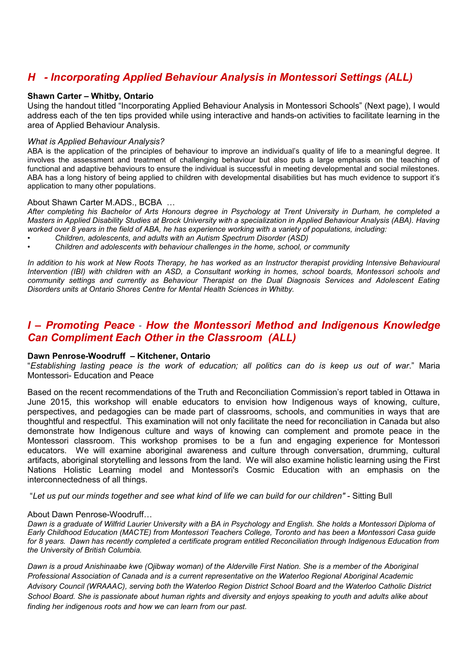# *H - Incorporating Applied Behaviour Analysis in Montessori Settings (ALL)*

## **Shawn Carter – Whitby, Ontario**

Using the handout titled "Incorporating Applied Behaviour Analysis in Montessori Schools" (Next page), I would address each of the ten tips provided while using interactive and hands-on activities to facilitate learning in the area of Applied Behaviour Analysis.

## *What is Applied Behaviour Analysis?*

ABA is the application of the principles of behaviour to improve an individual's quality of life to a meaningful degree. It involves the assessment and treatment of challenging behaviour but also puts a large emphasis on the teaching of functional and adaptive behaviours to ensure the individual is successful in meeting developmental and social milestones. ABA has a long history of being applied to children with developmental disabilities but has much evidence to support it's application to many other populations.

## About Shawn Carter M.ADS., BCBA …

*After completing his Bachelor of Arts Honours degree in Psychology at Trent University in Durham, he completed a Masters in Applied Disability Studies at Brock University with a specialization in Applied Behaviour Analysis (ABA). Having worked over 8 years in the field of ABA, he has experience working with a variety of populations, including:*

- *Children, adolescents, and adults with an Autism Spectrum Disorder (ASD)*
- *Children and adolescents with behaviour challenges in the home, school, or community*

*In addition to his work at New Roots Therapy, he has worked as an Instructor therapist providing Intensive Behavioural Intervention (IBI) with children with an ASD, a Consultant working in homes, school boards, Montessori schools and community settings and currently as Behaviour Therapist on the Dual Diagnosis Services and Adolescent Eating Disorders units at Ontario Shores Centre for Mental Health Sciences in Whitby.*

## *I – Promoting Peace - How the Montessori Method and Indigenous Knowledge Can Compliment Each Other in the Classroom (ALL)*

## **Dawn Penrose-Woodruff – Kitchener, Ontario**

"*Establishing lasting peace is the work of education; all politics can do is keep us out of war*." Maria Montessori- Education and Peace

Based on the recent recommendations of the Truth and Reconciliation Commission's report tabled in Ottawa in June 2015, this workshop will enable educators to envision how Indigenous ways of knowing, culture, perspectives, and pedagogies can be made part of classrooms, schools, and communities in ways that are thoughtful and respectful. This examination will not only facilitate the need for reconciliation in Canada but also demonstrate how Indigenous culture and ways of knowing can complement and promote peace in the Montessori classroom. This workshop promises to be a fun and engaging experience for Montessori educators. We will examine aboriginal awareness and culture through conversation, drumming, cultural artifacts, aboriginal storytelling and lessons from the land. We will also examine holistic learning using the First Nations Holistic Learning model and Montessori's Cosmic Education with an emphasis on the interconnectedness of all things.

"*Let us put our minds together and see what kind of life we can build for our children" -* Sitting Bull

## About Dawn Penrose-Woodruff…

*Dawn is a graduate of Wilfrid Laurier University with a BA in Psychology and English. She holds a Montessori Diploma of Early Childhood Education (MACTE) from Montessori Teachers College, Toronto and has been a Montessori Casa guide for 8 years. Dawn has recently completed a certificate program entitled Reconciliation through Indigenous Education from the University of British Columbia.*

*Dawn is a proud Anishinaabe kwe (Ojibway woman) of the Alderville First Nation. She is a member of the Aboriginal Professional Association of Canada and is a current representative on the Waterloo Regional Aboriginal Academic Advisory Council (WRAAAC), serving both the Waterloo Region District School Board and the Waterloo Catholic District School Board. She is passionate about human rights and diversity and enjoys speaking to youth and adults alike about finding her indigenous roots and how we can learn from our past.*